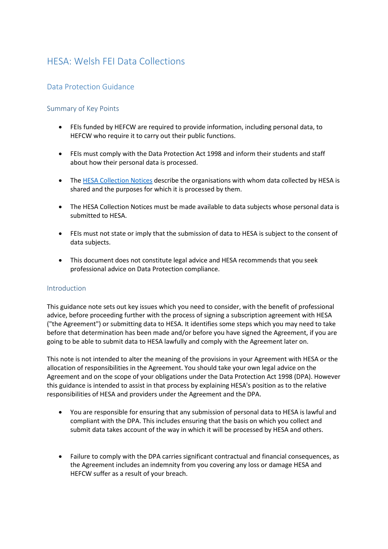# HESA: Welsh FEI Data Collections

## Data Protection Guidance

### Summary of Key Points

- FEIs funded by HEFCW are required to provide information, including personal data, to HEFCW who require it to carry out their public functions.
- FEIs must comply with the Data Protection Act 1998 and inform their students and staff about how their personal data is processed.
- The [HESA Collection Notices](http://www.hesa.ac.uk/fpn) describe the organisations with whom data collected by HESA is shared and the purposes for which it is processed by them.
- The HESA Collection Notices must be made available to data subjects whose personal data is submitted to HESA.
- FEIs must not state or imply that the submission of data to HESA is subject to the consent of data subjects.
- This document does not constitute legal advice and HESA recommends that you seek professional advice on Data Protection compliance.

#### Introduction

This guidance note sets out key issues which you need to consider, with the benefit of professional advice, before proceeding further with the process of signing a subscription agreement with HESA ("the Agreement") or submitting data to HESA. It identifies some steps which you may need to take before that determination has been made and/or before you have signed the Agreement, if you are going to be able to submit data to HESA lawfully and comply with the Agreement later on.

This note is not intended to alter the meaning of the provisions in your Agreement with HESA or the allocation of responsibilities in the Agreement. You should take your own legal advice on the Agreement and on the scope of your obligations under the Data Protection Act 1998 (DPA). However this guidance is intended to assist in that process by explaining HESA's position as to the relative responsibilities of HESA and providers under the Agreement and the DPA.

- You are responsible for ensuring that any submission of personal data to HESA is lawful and compliant with the DPA. This includes ensuring that the basis on which you collect and submit data takes account of the way in which it will be processed by HESA and others.
- Failure to comply with the DPA carries significant contractual and financial consequences, as the Agreement includes an indemnity from you covering any loss or damage HESA and HEFCW suffer as a result of your breach.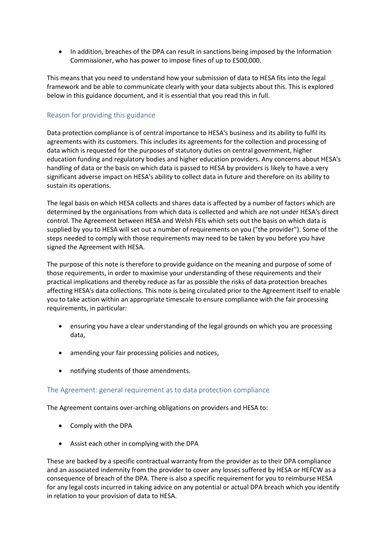• In addition, breaches of the DPA can result in sanctions being imposed by the Information Commissioner, who has power to impose fines of up to £500,000.

This means that you need to understand how your submission of data to HESA fits into the legal framework and be able to communicate clearly with your data subjects about this. This is explored below in this guidance document, and it is essential that you read this in full.

## Reason for providing this guidance

Data protection compliance is of central importance to HESA's business and its ability to fulfil its agreements with its customers. This includes its agreements for the collection and processing of data which is requested for the purposes of statutory duties on central government, higher education funding and regulatory bodies and higher education providers. Any concerns about HESA's handling of data or the basis on which data is passed to HESA by providers is likely to have a very significant adverse impact on HESA's ability to collect data in future and therefore on its ability to sustain its operations.

The legal basis on which HESA collects and shares data is affected by a number of factors which are determined by the organisations from which data is collected and which are not under HESA's direct control. The Agreement between HESA and Welsh FEIs which sets out the basis on which data is supplied by you to HESA will set out a number of requirements on you ("the provider"). Some of the steps needed to comply with those requirements may need to be taken by you before you have signed the Agreement with HESA.

The purpose of this note is therefore to provide guidance on the meaning and purpose of some of those requirements, in order to maximise your understanding of these requirements and their practical implications and thereby reduce as far as possible the risks of data protection breaches affecting HESA's data collections. This note is being circulated prior to the Agreement itself to enable you to take action within an appropriate timescale to ensure compliance with the fair processing requirements, in particular:

- ensuring you have a clear understanding of the legal grounds on which you are processing data,
- amending your fair processing policies and notices,
- notifying students of those amendments.

#### The Agreement: general requirement as to data protection compliance

The Agreement contains over-arching obligations on providers and HESA to:

- Comply with the DPA
- Assist each other in complying with the DPA

These are backed by a specific contractual warranty from the provider as to their DPA compliance and an associated indemnity from the provider to cover any losses suffered by HESA or HEFCW as a consequence of breach of the DPA. There is also a specific requirement for you to reimburse HESA for any legal costs incurred in taking advice on any potential or actual DPA breach which you identify in relation to your provision of data to HESA.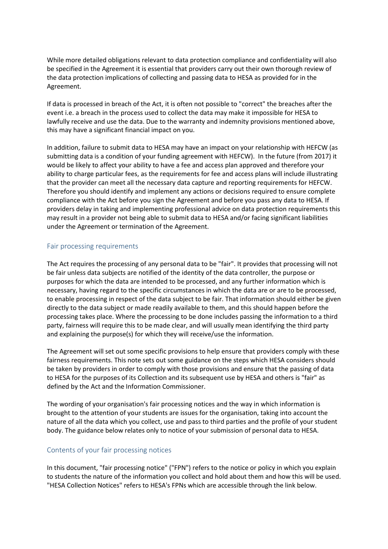While more detailed obligations relevant to data protection compliance and confidentiality will also be specified in the Agreement it is essential that providers carry out their own thorough review of the data protection implications of collecting and passing data to HESA as provided for in the Agreement.

If data is processed in breach of the Act, it is often not possible to "correct" the breaches after the event i.e. a breach in the process used to collect the data may make it impossible for HESA to lawfully receive and use the data. Due to the warranty and indemnity provisions mentioned above, this may have a significant financial impact on you.

In addition, failure to submit data to HESA may have an impact on your relationship with HEFCW (as submitting data is a condition of your funding agreement with HEFCW). In the future (from 2017) it would be likely to affect your ability to have a fee and access plan approved and therefore your ability to charge particular fees, as the requirements for fee and access plans will include illustrating that the provider can meet all the necessary data capture and reporting requirements for HEFCW. Therefore you should identify and implement any actions or decisions required to ensure complete compliance with the Act before you sign the Agreement and before you pass any data to HESA. If providers delay in taking and implementing professional advice on data protection requirements this may result in a provider not being able to submit data to HESA and/or facing significant liabilities under the Agreement or termination of the Agreement.

#### Fair processing requirements

The Act requires the processing of any personal data to be "fair". It provides that processing will not be fair unless data subjects are notified of the identity of the data controller, the purpose or purposes for which the data are intended to be processed, and any further information which is necessary, having regard to the specific circumstances in which the data are or are to be processed, to enable processing in respect of the data subject to be fair. That information should either be given directly to the data subject or made readily available to them, and this should happen before the processing takes place. Where the processing to be done includes passing the information to a third party, fairness will require this to be made clear, and will usually mean identifying the third party and explaining the purpose(s) for which they will receive/use the information.

The Agreement will set out some specific provisions to help ensure that providers comply with these fairness requirements. This note sets out some guidance on the steps which HESA considers should be taken by providers in order to comply with those provisions and ensure that the passing of data to HESA for the purposes of its Collection and its subsequent use by HESA and others is "fair" as defined by the Act and the Information Commissioner.

The wording of your organisation's fair processing notices and the way in which information is brought to the attention of your students are issues for the organisation, taking into account the nature of all the data which you collect, use and pass to third parties and the profile of your student body. The guidance below relates only to notice of your submission of personal data to HESA.

## Contents of your fair processing notices

In this document, "fair processing notice" ("FPN") refers to the notice or policy in which you explain to students the nature of the information you collect and hold about them and how this will be used. "HESA Collection Notices" refers to HESA's FPNs which are accessible through the link below.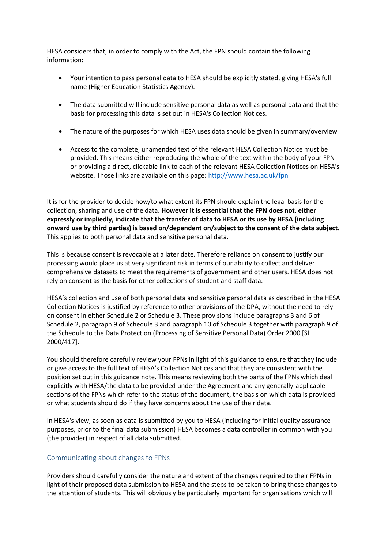HESA considers that, in order to comply with the Act, the FPN should contain the following information:

- Your intention to pass personal data to HESA should be explicitly stated, giving HESA's full name (Higher Education Statistics Agency).
- The data submitted will include sensitive personal data as well as personal data and that the basis for processing this data is set out in HESA's Collection Notices.
- The nature of the purposes for which HESA uses data should be given in summary/overview
- Access to the complete, unamended text of the relevant HESA Collection Notice must be provided. This means either reproducing the whole of the text within the body of your FPN or providing a direct, clickable link to each of the relevant HESA Collection Notices on HESA's website. Those links are available on this page:<http://www.hesa.ac.uk/fpn>

It is for the provider to decide how/to what extent its FPN should explain the legal basis for the collection, sharing and use of the data. **However it is essential that the FPN does not, either expressly or impliedly, indicate that the transfer of data to HESA or its use by HESA (including onward use by third parties) is based on/dependent on/subject to the consent of the data subject.**  This applies to both personal data and sensitive personal data.

This is because consent is revocable at a later date. Therefore reliance on consent to justify our processing would place us at very significant risk in terms of our ability to collect and deliver comprehensive datasets to meet the requirements of government and other users. HESA does not rely on consent as the basis for other collections of student and staff data.

HESA's collection and use of both personal data and sensitive personal data as described in the HESA Collection Notices is justified by reference to other provisions of the DPA, without the need to rely on consent in either Schedule 2 or Schedule 3. These provisions include paragraphs 3 and 6 of Schedule 2, paragraph 9 of Schedule 3 and paragraph 10 of Schedule 3 together with paragraph 9 of the Schedule to the Data Protection (Processing of Sensitive Personal Data) Order 2000 [SI 2000/417].

You should therefore carefully review your FPNs in light of this guidance to ensure that they include or give access to the full text of HESA's Collection Notices and that they are consistent with the position set out in this guidance note. This means reviewing both the parts of the FPNs which deal explicitly with HESA/the data to be provided under the Agreement and any generally-applicable sections of the FPNs which refer to the status of the document, the basis on which data is provided or what students should do if they have concerns about the use of their data.

In HESA's view, as soon as data is submitted by you to HESA (including for initial quality assurance purposes, prior to the final data submission) HESA becomes a data controller in common with you (the provider) in respect of all data submitted.

## Communicating about changes to FPNs

Providers should carefully consider the nature and extent of the changes required to their FPNs in light of their proposed data submission to HESA and the steps to be taken to bring those changes to the attention of students. This will obviously be particularly important for organisations which will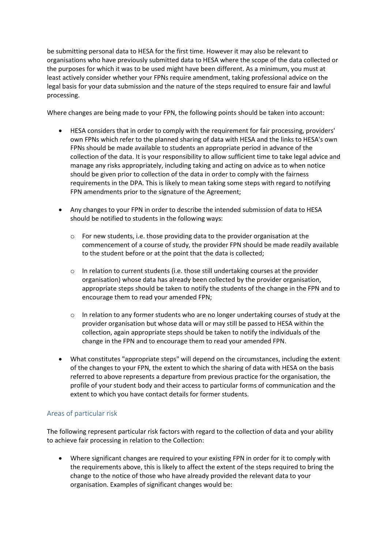be submitting personal data to HESA for the first time. However it may also be relevant to organisations who have previously submitted data to HESA where the scope of the data collected or the purposes for which it was to be used might have been different. As a minimum, you must at least actively consider whether your FPNs require amendment, taking professional advice on the legal basis for your data submission and the nature of the steps required to ensure fair and lawful processing.

Where changes are being made to your FPN, the following points should be taken into account:

- HESA considers that in order to comply with the requirement for fair processing, providers' own FPNs which refer to the planned sharing of data with HESA and the links to HESA's own FPNs should be made available to students an appropriate period in advance of the collection of the data. It is your responsibility to allow sufficient time to take legal advice and manage any risks appropriately, including taking and acting on advice as to when notice should be given prior to collection of the data in order to comply with the fairness requirements in the DPA. This is likely to mean taking some steps with regard to notifying FPN amendments prior to the signature of the Agreement;
- Any changes to your FPN in order to describe the intended submission of data to HESA should be notified to students in the following ways:
	- o For new students, i.e. those providing data to the provider organisation at the commencement of a course of study, the provider FPN should be made readily available to the student before or at the point that the data is collected;
	- $\circ$  In relation to current students (i.e. those still undertaking courses at the provider organisation) whose data has already been collected by the provider organisation, appropriate steps should be taken to notify the students of the change in the FPN and to encourage them to read your amended FPN;
	- o In relation to any former students who are no longer undertaking courses of study at the provider organisation but whose data will or may still be passed to HESA within the collection, again appropriate steps should be taken to notify the individuals of the change in the FPN and to encourage them to read your amended FPN.
- What constitutes "appropriate steps" will depend on the circumstances, including the extent of the changes to your FPN, the extent to which the sharing of data with HESA on the basis referred to above represents a departure from previous practice for the organisation, the profile of your student body and their access to particular forms of communication and the extent to which you have contact details for former students.

## Areas of particular risk

The following represent particular risk factors with regard to the collection of data and your ability to achieve fair processing in relation to the Collection:

 Where significant changes are required to your existing FPN in order for it to comply with the requirements above, this is likely to affect the extent of the steps required to bring the change to the notice of those who have already provided the relevant data to your organisation. Examples of significant changes would be: